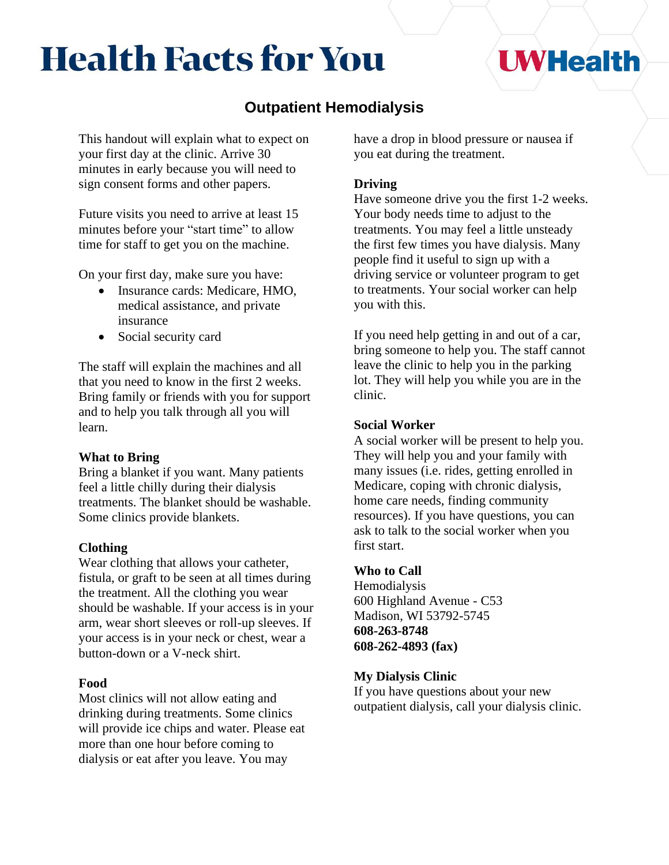# **Health Facts for You**

## **UWHealth**

### **Outpatient Hemodialysis**

This handout will explain what to expect on your first day at the clinic. Arrive 30 minutes in early because you will need to sign consent forms and other papers.

Future visits you need to arrive at least 15 minutes before your "start time" to allow time for staff to get you on the machine.

On your first day, make sure you have:

- Insurance cards: Medicare, HMO, medical assistance, and private insurance
- Social security card

The staff will explain the machines and all that you need to know in the first 2 weeks. Bring family or friends with you for support and to help you talk through all you will learn.

#### **What to Bring**

Bring a blanket if you want. Many patients feel a little chilly during their dialysis treatments. The blanket should be washable. Some clinics provide blankets.

#### **Clothing**

Wear clothing that allows your catheter, fistula, or graft to be seen at all times during the treatment. All the clothing you wear should be washable. If your access is in your arm, wear short sleeves or roll-up sleeves. If your access is in your neck or chest, wear a button-down or a V-neck shirt.

#### **Food**

Most clinics will not allow eating and drinking during treatments. Some clinics will provide ice chips and water. Please eat more than one hour before coming to dialysis or eat after you leave. You may

have a drop in blood pressure or nausea if you eat during the treatment.

#### **Driving**

Have someone drive you the first 1-2 weeks. Your body needs time to adjust to the treatments. You may feel a little unsteady the first few times you have dialysis. Many people find it useful to sign up with a driving service or volunteer program to get to treatments. Your social worker can help you with this.

If you need help getting in and out of a car, bring someone to help you. The staff cannot leave the clinic to help you in the parking lot. They will help you while you are in the clinic.

#### **Social Worker**

A social worker will be present to help you. They will help you and your family with many issues (i.e. rides, getting enrolled in Medicare, coping with chronic dialysis, home care needs, finding community resources). If you have questions, you can ask to talk to the social worker when you first start.

#### **Who to Call**

Hemodialysis 600 Highland Avenue - C53 Madison, WI 53792-5745 **608-263-8748 608-262-4893 (fax)**

#### **My Dialysis Clinic**

If you have questions about your new outpatient dialysis, call your dialysis clinic.